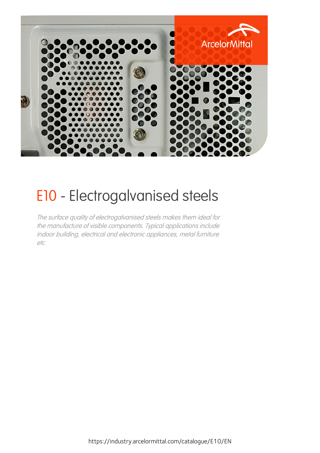

# E10 - Electrogalvanised steels

The surface quality of electrogalvanised steels makes them ideal for the manufacture of visible components. Typical applications include indoor building, electrical and electronic appliances, metal furniture etc.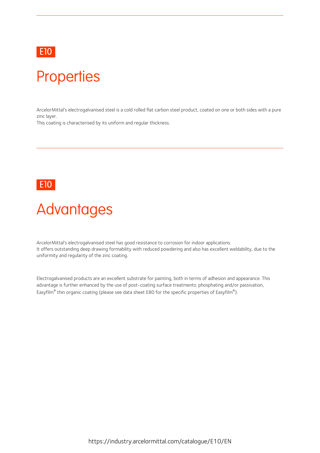### E10 and the contract of the contract of the contract of the contract of the contract of the contract of the contract of the contract of the contract of the contract of the contract of the contract of the contract of the co

### **Properties**

ArcelorMittal's electrogalvanised steel is a cold rolled flat carbon steel product, coated on one or both sides with a pure zinc layer.

This coating is characterised by its uniform and regular thickness.

### E10 and the contract of the contract of the contract of the contract of the contract of the contract of the contract of the contract of the contract of the contract of the contract of the contract of the contract of the co

### **Advantages**

ArcelorMittal's electrogalvanised steel has good resistance to corrosion for indoor applications. It offers outstanding deep drawing formability with reduced powdering and also has excellent weldability, due to the uniformity and regularity of the zinc coating.

Electrogalvanised products are an excellent substrate for painting, both in terms of adhesion and appearance. This advantage is further enhanced by the use of post-coating surface treatments: phosphating and/or passivation, Easyfilm® thin organic coating (please see data sheet E80 for the specific properties of Easyfilm®).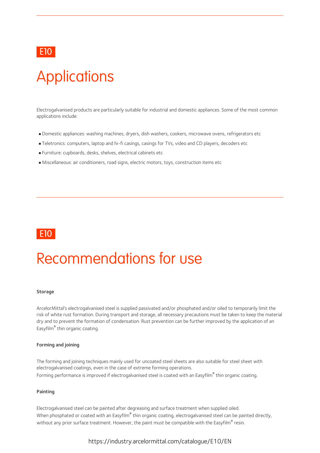### E10 and the contract of the contract of the contract of the contract of the contract of the contract of the contract of the contract of the contract of the contract of the contract of the contract of the contract of the co

# **Applications**

Electrogalvanised products are particularly suitable for industrial and domestic appliances. Some of the most common applications include:

- Domestic appliances: washing machines, dryers, dish washers, cookers, microwave ovens, refrigerators etc
- Teletronics: computers, laptop and hi-fi casings,casings for TVs, video and CD players, decoders etc
- Furniture: cupboards, desks, shelves, electrical cabinets etc
- Miscellaneous: air conditioners, road signs, electric motors, toys, construction items etc



### Recommendations for use

#### **Storage**

ArcelorMittal's electrogalvanised steel is supplied passivated and/or phosphated and/or oiled to temporarily limit the risk of white rust formation. During transport and storage, all necessary precautions must be taken to keep the material dry and to prevent the formation of condensation. Rust prevention can be further improved by the application of an Easyfilm® thin organic coating.

#### Forming and joining

The forming and joining techniques mainly used for uncoated steel sheets are also suitable for steel sheet with electrogalvanised coatings, even in the case of extreme forming operations. Forming performance is improved if electrogalvanised steel is coated with an Easyfilm® thin organic coating.

#### Painting

Electrogalvanised steel can be painted after degreasing and surface treatment when supplied oiled. When phosphated or coated with an Easyfilm $^\circ$  thin organic coating, electrogalvanised steel can be painted directly, without any prior surface treatment. However, the paint must be compatible with the Easyfilm $^\circ$  resin.

https://industry.arcelormittal.com/catalogue/E10/EN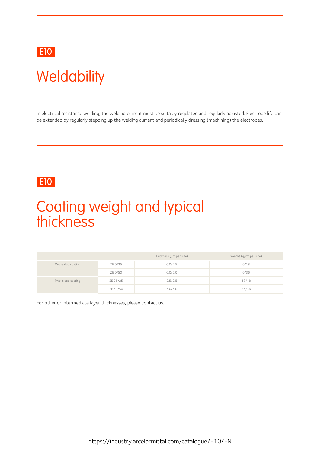

# **Weldability**

In electrical resistance welding, the welding current must be suitably regulated and regularly adjusted. Electrode life can be extended by regularly stepping up the welding current and periodically dressing (machining) the electrodes.

### E10 and the contract of the contract of the contract of the contract of the contract of the contract of the contract of the contract of the contract of the contract of the contract of the contract of the contract of the co

### Coating weight and typical thickness

|                   |          | Thickness (µm per side) | Weight (g/m <sup>2</sup> per side) |
|-------------------|----------|-------------------------|------------------------------------|
| One-sided coating | ZE 0/25  | 0.0/2.5                 | 0/18                               |
|                   | ZE 0/50  | 0.0/5.0                 | 0/36                               |
| Two-sided coating | ZE 25/25 | 2.5/2.5                 | 18/18                              |
|                   | ZE 50/50 | 5.0/5.0                 | 36/36                              |

For other or intermediate layer thicknesses, please contact us.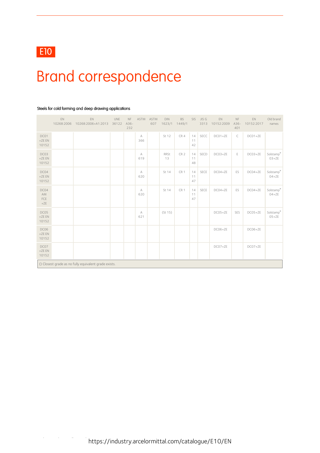

### Brand correspondence

|                            | EN<br>10268:2006 | EN<br>10268:2006+A1:2013                              | UNE<br>36122 | $\mathsf{NF}$<br>$A36-$<br>232 | ASTM     | <b>ASTM</b><br>607 | DIN<br>1623/1 | <b>BS</b><br>1449/1 | SIS            | JIS G<br>3313 | EN<br>10152:2009 | $\mathsf{NF}$<br>$A36-$<br>401 | EN<br>10152:2017 | Old brand<br>names   |
|----------------------------|------------------|-------------------------------------------------------|--------------|--------------------------------|----------|--------------------|---------------|---------------------|----------------|---------------|------------------|--------------------------------|------------------|----------------------|
| DC01<br>$+ZEEN$<br>10152   |                  |                                                       |              |                                | А<br>366 |                    | St 12         | CR4                 | 14<br>11<br>42 | SECC          | $DCO1+ZE$        | C                              | $DCO1+ZE$        |                      |
| DC03<br>$+ZEEN$<br>10152   |                  |                                                       |              |                                | А<br>619 |                    | RRSt<br>13    | CR <sub>2</sub>     | 14<br>11<br>48 | SECD          | $DCO3+ZE$        | E                              | $DCO3+ZE$        | Solstamp®<br>$03+ZE$ |
| DC04<br>$+ZEEN$<br>10152   |                  |                                                       |              |                                | А<br>620 |                    | St 14         | CR <sub>1</sub>     | 14<br>11<br>47 | SECE          | $DCO4+ZE$        | ES                             | $DCO4+ZE$        | Solstamp®<br>$04+ZE$ |
| DC04<br>AM<br>FCE<br>$+ZE$ |                  |                                                       |              |                                | А<br>620 |                    | St 14         | CR <sub>1</sub>     | 14<br>11<br>47 | SECE          | $DCO4+ZE$        | ES                             | $DCO4+ZE$        | Solstamp®<br>$04+ZE$ |
| DC05<br>$+ZEEN$<br>10152   |                  |                                                       |              |                                | А<br>621 |                    | (St 15)       |                     |                |               | $DCO5+ZE$        | SES                            | $DCO5+ZE$        | Solstamp®<br>$O5+ZE$ |
| DC06<br>$+ZEEN$<br>10152   |                  |                                                       |              |                                |          |                    |               |                     |                |               | DC06+ZE          |                                | DC06+ZE          |                      |
| DC07<br>$+ZEEN$<br>10152   |                  |                                                       |              |                                |          |                    |               |                     |                |               | $DCO7+ZE$        |                                | $DCO7+ZE$        |                      |
|                            |                  | () Closest grade as no fully equivalent grade exists. |              |                                |          |                    |               |                     |                |               |                  |                                |                  |                      |

#### Steels for cold forming and deep drawing applications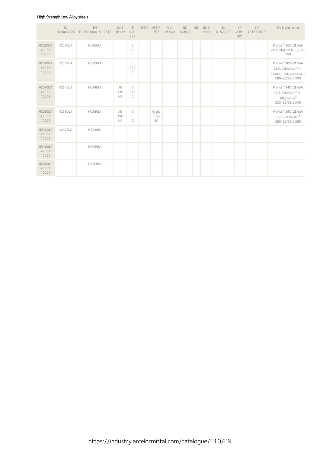#### High Strength Low Alloy steels

|                             | EN<br>10268:2006 | EN<br>10268:2006+A1:2013 | <b>UNE</b><br>36122 | <b>NF</b><br>$A36-$<br>232      | ASTM | <b>ASTM</b><br>607  | <b>DIN</b> | <b>BS</b><br>1623/1 1449/1 | SIS JIS G<br>3313 | EN<br>10152:2009 | NF<br>$A36-$<br>401 | EN<br>10152:2017 | Old brand names                                                                                 |
|-----------------------------|------------------|--------------------------|---------------------|---------------------------------|------|---------------------|------------|----------------------------|-------------------|------------------|---------------------|------------------|-------------------------------------------------------------------------------------------------|
| HC260LA<br>$+ZEEN$<br>10268 | HC260LA          | HC260LA                  |                     | $\mathsf E$<br>260<br>$\subset$ |      |                     |            |                            |                   |                  |                     |                  | Profilar® 260+ZE/MA<br>240L/HQE240+ZE/ZStE<br>260                                               |
| HC300LA<br>$+ZEEN$<br>10268 | HC300LA          | HC300LA                  |                     | E<br>280<br>$\subset$           |      |                     |            |                            |                   |                  |                     |                  | Profilar <sup>®</sup> 300+ZE/MA<br>280L+ZE/Sidca® M-<br>300/HQE280+ZE/Soldur<br>280+ZE/ZStE 300 |
| HC340LA<br>$+ZEEN$<br>10268 | HC340LA          | HC340LA                  | AE<br>335<br>HF     | E<br>315<br>$\subset$           |      |                     |            |                            |                   |                  |                     |                  | Profilar <sup>®</sup> 340+ZE/MA<br>320L+ZE/Sidca® M-<br>340/Soldur®<br>320+ZE/ZStE 340          |
| HC380LA<br>$+ZEEN$<br>10268 | HC380LA          | HC380LA                  | AE<br>390<br>HF     | E<br>355<br>$\subset$           |      | Grade<br>607-<br>50 |            |                            |                   |                  |                     |                  | Profilar <sup>®</sup> 380+ZE/MA<br>360L+ZE/Soldur®<br>360+ZE/ZStE 380                           |
| HC420LA<br>$+ZEEN$<br>10268 | HC420LA          | HC420LA                  |                     |                                 |      |                     |            |                            |                   |                  |                     |                  |                                                                                                 |
| HC460LA<br>$+ZEEN$<br>10268 |                  | HC460LA                  |                     |                                 |      |                     |            |                            |                   |                  |                     |                  |                                                                                                 |
| HC500LA<br>$+ZEEN$<br>10268 |                  | HC500LA                  |                     |                                 |      |                     |            |                            |                   |                  |                     |                  |                                                                                                 |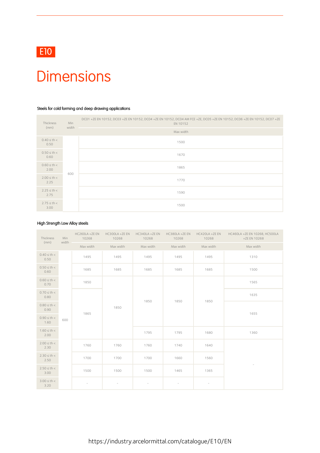

### **Dimensions**

#### Steels for cold forming and deep drawing applications

| Thickness                | Min<br>width | DC01 +ZE EN 10152, DC03 +ZE EN 10152, DC04 +ZE EN 10152, DC04 AM FCE +ZE, DC05 +ZE EN 10152, DC06 +ZE EN 10152, DC07 +ZE<br>EN 10152 |
|--------------------------|--------------|--------------------------------------------------------------------------------------------------------------------------------------|
| (mm)                     |              | Max width                                                                                                                            |
| $0.40 \le th <$<br>0.50  |              | 1500                                                                                                                                 |
| $0.50 \leq th <$<br>0.60 |              | 1670                                                                                                                                 |
| $0.60 \leq th <$<br>2.00 | 600          | 1865                                                                                                                                 |
| $2.00 \le th <$<br>2.25  |              | 1770                                                                                                                                 |
| $2.25 \le th <$<br>2.75  |              | 1590                                                                                                                                 |
| $2.75 \le th <$<br>3.00  |              | 1500                                                                                                                                 |

#### High Strength Low Alloy steels

| Thickness                | Min   | HC260LA +ZE EN<br>10268  | HC300LA +ZE EN<br>10268  | HC340LA +ZE EN<br>10268  | HC380LA +ZE EN<br>10268  | HC420LA +ZE EN<br>10268  | HC460LA +ZE EN 10268, HC500LA<br>+ZE EN 10268 |
|--------------------------|-------|--------------------------|--------------------------|--------------------------|--------------------------|--------------------------|-----------------------------------------------|
| (mm)                     | width | Max width                | Max width                | Max width                | Max width                | Max width                | Max width                                     |
| $0.40 \le th <$<br>0.50  |       | 1495                     | 1495                     | 1495                     | 1495                     | 1495                     | 1310                                          |
| $0.50 \le th <$<br>0.60  |       | 1685                     | 1685                     | 1685                     | 1685                     | 1685                     | 1500                                          |
| $0.60 \leq th <$<br>0.70 |       | 1850                     |                          |                          |                          |                          | 1565                                          |
| $0.70 \le th <$<br>0.80  |       |                          |                          | 1850                     | 1850                     | 1850                     | 1635                                          |
| $0.80 \le th <$<br>0.90  |       | 1865                     | 1850                     |                          |                          |                          | 1655                                          |
| $0.90 \le th <$<br>1.60  | 600   |                          |                          |                          |                          |                          |                                               |
| $1.60 \le th <$<br>2.00  |       |                          |                          | 1795                     | 1795                     | 1680                     | 1360                                          |
| $2.00 \le th <$<br>2.30  |       | 1760                     | 1760                     | 1760                     | 1740                     | 1640                     |                                               |
| $2.30 \le th <$<br>2.50  |       | 1700                     | 1700                     | 1700                     | 1660                     | 1560                     |                                               |
| $2.50 \le th <$<br>3.00  |       | 1500                     | 1500                     | 1500                     | 1465                     | 1365                     |                                               |
| $3.00 \le th <$<br>3.20  |       | $\overline{\phantom{a}}$ | $\overline{\phantom{a}}$ | $\overline{\phantom{a}}$ | $\overline{\phantom{a}}$ | $\overline{\phantom{a}}$ |                                               |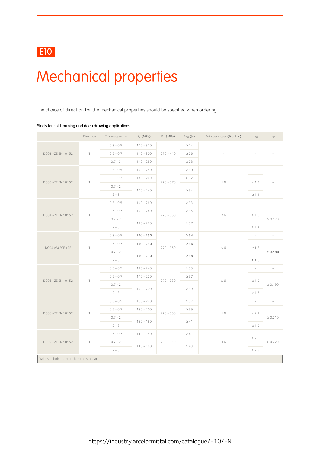# Mechanical properties

The choice of direction for the mechanical properties should be specified when ordering.

|                                           | Direction | Thickness (mm) | $R_e$ (MPa) | $R_m$ (MPa) | $A_{80}$ (%) | MP guarantees (Months) | $r_{90}$                 | $n_{90}$                 |  |
|-------------------------------------------|-----------|----------------|-------------|-------------|--------------|------------------------|--------------------------|--------------------------|--|
|                                           |           | $0.3 - 0.5$    | $140 - 320$ |             | $\geq 24$    |                        |                          |                          |  |
| DC01 +ZE EN 10152                         | $\top$    | $0.5 - 0.7$    | $140 - 300$ | $270 - 410$ | $\geq 26$    |                        | $\overline{\phantom{a}}$ |                          |  |
|                                           |           | $0.7 - 3$      | $140 - 280$ |             | $\geq 28$    |                        |                          |                          |  |
|                                           |           | $0.3 - 0.5$    | $140 - 280$ | $270 - 370$ | $\geq 30$    |                        | $\overline{\phantom{a}}$ |                          |  |
| DC03 +ZE EN 10152                         | $\top$    | $0.5 - 0.7$    | $140 - 260$ |             | $\geq$ 32    | $\leq 6$               | $\geq 1.3$               |                          |  |
|                                           |           | $0.7 - 2$      | $140 - 240$ |             | $\geq 34$    |                        |                          | $\overline{\phantom{a}}$ |  |
|                                           |           | $2 - 3$        |             |             |              |                        | $\geq 1.1$               |                          |  |
|                                           |           | $0.3 - 0.5$    | $140 - 260$ |             | $\geq$ 33    |                        | $\overline{\phantom{a}}$ | $\sim$                   |  |
| DC04 +ZE EN 10152                         | $\top$    | $0.5 - 0.7$    | $140 - 240$ | $270 - 350$ | $\geq 35$    | $\leq 6$               | $\geq 1.6$               |                          |  |
|                                           |           | $0.7 - 2$      | $140 - 220$ |             | $\geq 37$    |                        |                          | $\geq 0.170$             |  |
|                                           |           | $2 - 3$        |             |             |              |                        | $\geq 1.4$               |                          |  |
|                                           |           | $0.3 - 0.5$    | $140 - 250$ | $270 - 350$ | $\geq 34$    | $\leq 6$               | $\overline{\phantom{a}}$ | $\sim$                   |  |
| DC04 AM FCE +ZE                           | T         | $0.5 - 0.7$    | $140 - 230$ |             | $\geq 36$    |                        | $\geq 1.8$               |                          |  |
|                                           |           | $0.7 - 2$      | $140 - 210$ |             | $\geq 38$    |                        |                          | $\ge 0.190$              |  |
|                                           |           | $2 - 3$        |             |             |              |                        | $\geq 1.6$               |                          |  |
|                                           |           | $0.3 - 0.5$    | $140 - 240$ |             | $\geq 35$    |                        | $\bar{a}$                | $\sim$                   |  |
| DC05 +ZE EN 10152                         | $\top$    | $0.5 - 0.7$    | $140 - 220$ | $270 - 330$ | $\geq$ 37    | $\leq 6$               | $\geq 1.9$               |                          |  |
|                                           |           | $0.7 - 2$      | $140 - 200$ |             | $\geq 39$    |                        |                          | $\geq 0.190$             |  |
|                                           |           | $2 - 3$        |             |             |              |                        | $\geq 1.7$               |                          |  |
|                                           |           | $0.3 - 0.5$    | $130 - 220$ |             | $\geq 37$    |                        | $\sim$                   | $\sim$                   |  |
| DC06 +ZE EN 10152                         | $\top$    | $0.5 - 0.7$    | $130 - 200$ | $270 - 350$ | $\geq 39$    | $\leq 6$               | $\geq 2.1$               |                          |  |
|                                           |           | $0.7 - 2$      | $130 - 180$ |             | $\geq 41$    |                        |                          | $\geq 0.210$             |  |
|                                           |           | $2 - 3$        |             |             |              |                        | $\geq 1.9$               |                          |  |
|                                           |           | $0.5 - 0.7$    | $110 - 180$ |             | $\geq 41$    |                        | $\geq 2.5$               |                          |  |
| DC07 +ZE EN 10152                         | $\top$    | $0.7 - 2$      | $110 - 160$ | $250 - 310$ | $\geq 43$    | $\leq 6$               |                          | $\geq 0.220$             |  |
|                                           |           | $2 - 3$        |             |             |              |                        | $\geq 2.3$               |                          |  |
| Values in bold: tighter than the standard |           |                |             |             |              |                        |                          |                          |  |

#### Steels for cold forming and deep drawing applications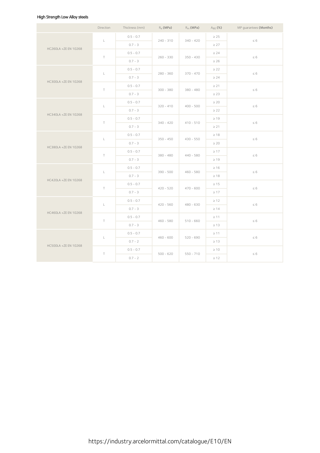### High Strength Low Alloy steels

|                      | Direction      | Thickness (mm) | $R_{\rho}$ (MPa) | $R_m$ (MPa) | $A_{80}$ (%) | MP guarantees (Months) |
|----------------------|----------------|----------------|------------------|-------------|--------------|------------------------|
|                      |                | $0.5 - 0.7$    |                  |             | $\geq 25$    |                        |
|                      | $\mathsf L$    | $0.7 - 3$      | $240 - 310$      | $340 - 420$ | $\geq$ 27    | $\leq 6$               |
| HC260LA +ZE EN 10268 | $\top$         | $0.5 - 0.7$    |                  | $350 - 430$ | $\geq 24$    |                        |
|                      |                | $0.7 - 3$      | $260 - 330$      |             | $\geq 26$    | $\leq 6$               |
|                      | $\mathsf{L}^-$ | $0.5 - 0.7$    | $280 - 360$      | $370 - 470$ | $\geq$ 22    | $\leq 6$               |
| HC300LA +ZE EN 10268 |                | $0.7 - 3$      |                  |             | $\geq$ 24    |                        |
|                      | $\top$         | $0.5 - 0.7$    | $300 - 380$      | $380 - 480$ | $\geq$ 21    | $\leq 6$               |
|                      |                | $0.7 - 3$      |                  |             | $\geq$ 23    |                        |
|                      | L.             | $0.5 - 0.7$    | $320 - 410$      | $400 - 500$ | $\geq 20$    | $\leq 6$               |
|                      |                | $0.7 - 3$      |                  |             | $\geq$ 22    |                        |
| HC340LA +ZE EN 10268 | $\top$         | $0.5 - 0.7$    | $340 - 420$      | $410 - 510$ | $\geq 19$    | $\leq 6$               |
|                      |                | $0.7 - 3$      |                  |             | $\geq 21$    |                        |
|                      |                | $0.5 - 0.7$    |                  |             | $\geq 18$    |                        |
|                      | $\mathsf L$    | $0.7 - 3$      | $350 - 450$      | $430 - 550$ | $\geq 20$    | $\leq 6$               |
| HC380LA +ZE EN 10268 | $\top$         | $0.5 - 0.7$    | $380 - 480$      | $440 - 580$ | $\geq 17$    | $\leq 6$               |
|                      |                | $0.7 - 3$      |                  |             | $\geq 19$    |                        |
|                      |                | $0.5 - 0.7$    |                  |             | $\geq 16$    |                        |
|                      | $\mathsf L$    | $0.7 - 3$      | $390 - 500$      | $460 - 580$ | $\geq 18$    | $\leq 6$               |
| HC420LA +ZE EN 10268 | $\top$         | $0.5 - 0.7$    |                  |             | $\geq 15$    |                        |
|                      |                | $0.7 - 3$      | $420 - 520$      | $470 - 600$ | $\geq 17$    | $\leq 6$               |
|                      |                | $0.5 - 0.7$    |                  |             | $\geq 12$    |                        |
| HC460LA +ZE EN 10268 | $\mathsf L$    | $0.7 - 3$      | $420 - 560$      | $480 - 630$ | $\geq 14$    | $\leq 6$               |
|                      |                | $0.5 - 0.7$    |                  |             | $\geq 11$    |                        |
|                      | $\top$         | $0.7 - 3$      | $460 - 580$      | $510 - 660$ | $\geq 13$    | $\leq 6$               |
|                      | $\mathsf{L}^-$ | $0.5 - 0.7$    | $460 - 600$      | $520 - 690$ | $\geq 11$    | $\leq 6$               |
| HC500LA +ZE EN 10268 |                | $0.7 - 2$      |                  |             | $\geq 13$    |                        |
|                      |                | $0.5 - 0.7$    |                  |             | $\geq 10$    |                        |
|                      | $\top$         | $0.7 - 2$      | $500 - 620$      | $550 - 710$ | $\geq 12$    | $\leq 6$               |